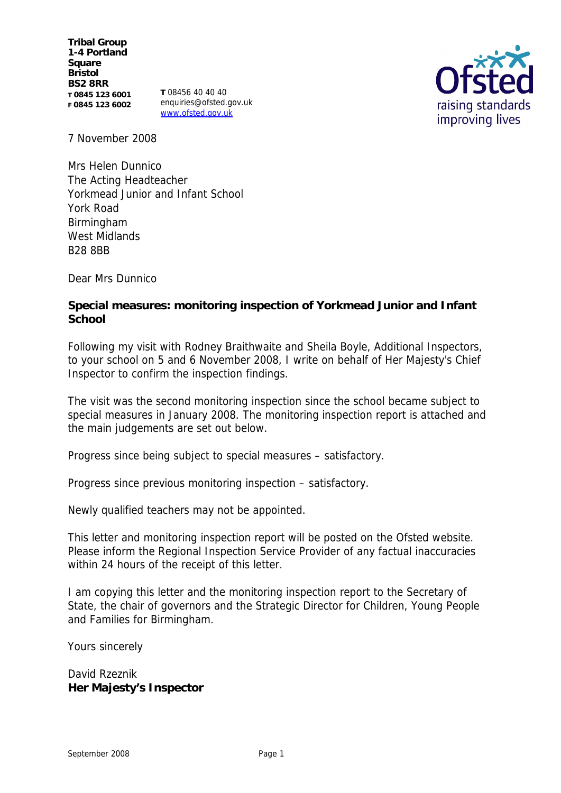**Tribal Group 1-4 Portland Square Bristol BS2 8RR T 0845 123 6001 F 0845 123 6002**

**T** 08456 40 40 40 enquiries@ofsted.gov.uk www.ofsted.gov.uk



7 November 2008

Mrs Helen Dunnico The Acting Headteacher Yorkmead Junior and Infant School York Road Birmingham West Midlands B28 8BB

Dear Mrs Dunnico

**Special measures: monitoring inspection of Yorkmead Junior and Infant School**

Following my visit with Rodney Braithwaite and Sheila Boyle, Additional Inspectors, to your school on 5 and 6 November 2008, I write on behalf of Her Majesty's Chief Inspector to confirm the inspection findings.

The visit was the second monitoring inspection since the school became subject to special measures in January 2008. The monitoring inspection report is attached and the main judgements are set out below.

Progress since being subject to special measures – satisfactory.

Progress since previous monitoring inspection – satisfactory.

Newly qualified teachers may not be appointed.

This letter and monitoring inspection report will be posted on the Ofsted website. Please inform the Regional Inspection Service Provider of any factual inaccuracies within 24 hours of the receipt of this letter.

I am copying this letter and the monitoring inspection report to the Secretary of State, the chair of governors and the Strategic Director for Children, Young People and Families for Birmingham.

Yours sincerely

David Rzeznik **Her Majesty's Inspector**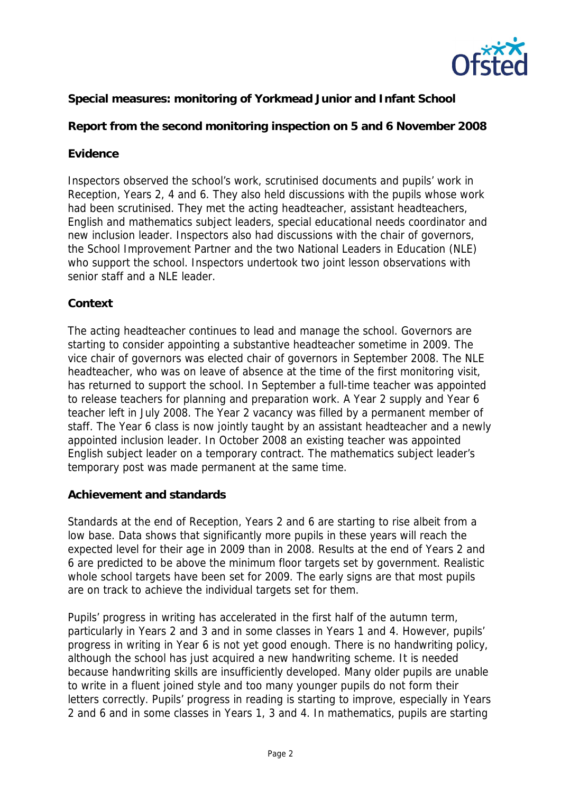

## **Special measures: monitoring of Yorkmead Junior and Infant School**

**Report from the second monitoring inspection on 5 and 6 November 2008**

## **Evidence**

Inspectors observed the school's work, scrutinised documents and pupils' work in Reception, Years 2, 4 and 6. They also held discussions with the pupils whose work had been scrutinised. They met the acting headteacher, assistant headteachers, English and mathematics subject leaders, special educational needs coordinator and new inclusion leader. Inspectors also had discussions with the chair of governors, the School Improvement Partner and the two National Leaders in Education (NLE) who support the school. Inspectors undertook two joint lesson observations with senior staff and a NLE leader.

### **Context**

The acting headteacher continues to lead and manage the school. Governors are starting to consider appointing a substantive headteacher sometime in 2009. The vice chair of governors was elected chair of governors in September 2008. The NLE headteacher, who was on leave of absence at the time of the first monitoring visit, has returned to support the school. In September a full-time teacher was appointed to release teachers for planning and preparation work. A Year 2 supply and Year 6 teacher left in July 2008. The Year 2 vacancy was filled by a permanent member of staff. The Year 6 class is now jointly taught by an assistant headteacher and a newly appointed inclusion leader. In October 2008 an existing teacher was appointed English subject leader on a temporary contract. The mathematics subject leader's temporary post was made permanent at the same time.

#### **Achievement and standards**

Standards at the end of Reception, Years 2 and 6 are starting to rise albeit from a low base. Data shows that significantly more pupils in these years will reach the expected level for their age in 2009 than in 2008. Results at the end of Years 2 and 6 are predicted to be above the minimum floor targets set by government. Realistic whole school targets have been set for 2009. The early signs are that most pupils are on track to achieve the individual targets set for them.

Pupils' progress in writing has accelerated in the first half of the autumn term, particularly in Years 2 and 3 and in some classes in Years 1 and 4. However, pupils' progress in writing in Year 6 is not yet good enough. There is no handwriting policy, although the school has just acquired a new handwriting scheme. It is needed because handwriting skills are insufficiently developed. Many older pupils are unable to write in a fluent joined style and too many younger pupils do not form their letters correctly. Pupils' progress in reading is starting to improve, especially in Years 2 and 6 and in some classes in Years 1, 3 and 4. In mathematics, pupils are starting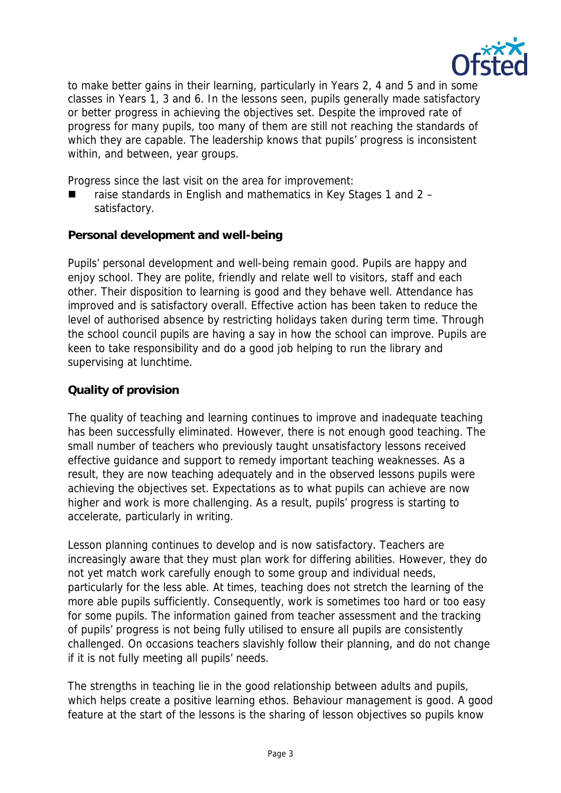

to make better gains in their learning, particularly in Years 2, 4 and 5 and in some classes in Years 1, 3 and 6. In the lessons seen, pupils generally made satisfactory or better progress in achieving the objectives set. Despite the improved rate of progress for many pupils, too many of them are still not reaching the standards of which they are capable. The leadership knows that pupils' progress is inconsistent within, and between, year groups.

Progress since the last visit on the area for improvement:

 raise standards in English and mathematics in Key Stages 1 and 2 – satisfactory.

**Personal development and well-being**

Pupils' personal development and well-being remain good. Pupils are happy and enjoy school. They are polite, friendly and relate well to visitors, staff and each other. Their disposition to learning is good and they behave well. Attendance has improved and is satisfactory overall. Effective action has been taken to reduce the level of authorised absence by restricting holidays taken during term time. Through the school council pupils are having a say in how the school can improve. Pupils are keen to take responsibility and do a good job helping to run the library and supervising at lunchtime.

# **Quality of provision**

The quality of teaching and learning continues to improve and inadequate teaching has been successfully eliminated. However, there is not enough good teaching. The small number of teachers who previously taught unsatisfactory lessons received effective guidance and support to remedy important teaching weaknesses. As a result, they are now teaching adequately and in the observed lessons pupils were achieving the objectives set. Expectations as to what pupils can achieve are now higher and work is more challenging. As a result, pupils' progress is starting to accelerate, particularly in writing.

Lesson planning continues to develop and is now satisfactory. Teachers are increasingly aware that they must plan work for differing abilities. However, they do not yet match work carefully enough to some group and individual needs, particularly for the less able. At times, teaching does not stretch the learning of the more able pupils sufficiently. Consequently, work is sometimes too hard or too easy for some pupils. The information gained from teacher assessment and the tracking of pupils' progress is not being fully utilised to ensure all pupils are consistently challenged. On occasions teachers slavishly follow their planning, and do not change if it is not fully meeting all pupils' needs.

The strengths in teaching lie in the good relationship between adults and pupils, which helps create a positive learning ethos. Behaviour management is good. A good feature at the start of the lessons is the sharing of lesson objectives so pupils know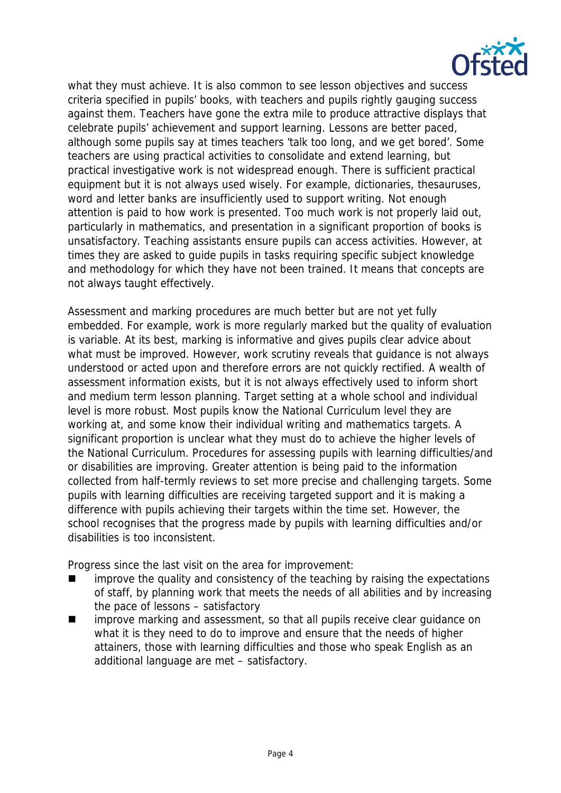

what they must achieve. It is also common to see lesson objectives and success criteria specified in pupils' books, with teachers and pupils rightly gauging success against them. Teachers have gone the extra mile to produce attractive displays that celebrate pupils' achievement and support learning. Lessons are better paced, although some pupils say at times teachers 'talk too long, and we get bored'. Some teachers are using practical activities to consolidate and extend learning, but practical investigative work is not widespread enough. There is sufficient practical equipment but it is not always used wisely. For example, dictionaries, thesauruses, word and letter banks are insufficiently used to support writing. Not enough attention is paid to how work is presented. Too much work is not properly laid out, particularly in mathematics, and presentation in a significant proportion of books is unsatisfactory. Teaching assistants ensure pupils can access activities. However, at times they are asked to guide pupils in tasks requiring specific subject knowledge and methodology for which they have not been trained. It means that concepts are not always taught effectively.

Assessment and marking procedures are much better but are not yet fully embedded. For example, work is more regularly marked but the quality of evaluation is variable. At its best, marking is informative and gives pupils clear advice about what must be improved. However, work scrutiny reveals that guidance is not always understood or acted upon and therefore errors are not quickly rectified. A wealth of assessment information exists, but it is not always effectively used to inform short and medium term lesson planning. Target setting at a whole school and individual level is more robust. Most pupils know the National Curriculum level they are working at, and some know their individual writing and mathematics targets. A significant proportion is unclear what they must do to achieve the higher levels of the National Curriculum. Procedures for assessing pupils with learning difficulties/and or disabilities are improving. Greater attention is being paid to the information collected from half-termly reviews to set more precise and challenging targets. Some pupils with learning difficulties are receiving targeted support and it is making a difference with pupils achieving their targets within the time set. However, the school recognises that the progress made by pupils with learning difficulties and/or disabilities is too inconsistent.

Progress since the last visit on the area for improvement:

- improve the quality and consistency of the teaching by raising the expectations of staff, by planning work that meets the needs of all abilities and by increasing the pace of lessons – satisfactory
- improve marking and assessment, so that all pupils receive clear guidance on what it is they need to do to improve and ensure that the needs of higher attainers, those with learning difficulties and those who speak English as an additional language are met – satisfactory.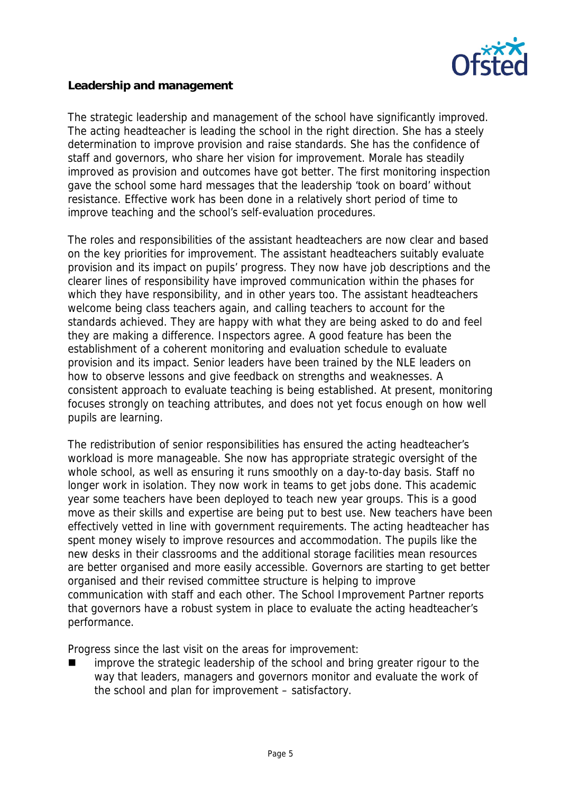

#### **Leadership and management**

The strategic leadership and management of the school have significantly improved. The acting headteacher is leading the school in the right direction. She has a steely determination to improve provision and raise standards. She has the confidence of staff and governors, who share her vision for improvement. Morale has steadily improved as provision and outcomes have got better. The first monitoring inspection gave the school some hard messages that the leadership 'took on board' without resistance. Effective work has been done in a relatively short period of time to improve teaching and the school's self-evaluation procedures.

The roles and responsibilities of the assistant headteachers are now clear and based on the key priorities for improvement. The assistant headteachers suitably evaluate provision and its impact on pupils' progress. They now have job descriptions and the clearer lines of responsibility have improved communication within the phases for which they have responsibility, and in other years too. The assistant headteachers welcome being class teachers again, and calling teachers to account for the standards achieved. They are happy with what they are being asked to do and feel they are making a difference. Inspectors agree. A good feature has been the establishment of a coherent monitoring and evaluation schedule to evaluate provision and its impact. Senior leaders have been trained by the NLE leaders on how to observe lessons and give feedback on strengths and weaknesses. A consistent approach to evaluate teaching is being established. At present, monitoring focuses strongly on teaching attributes, and does not yet focus enough on how well pupils are learning.

The redistribution of senior responsibilities has ensured the acting headteacher's workload is more manageable. She now has appropriate strategic oversight of the whole school, as well as ensuring it runs smoothly on a day-to-day basis. Staff no longer work in isolation. They now work in teams to get jobs done. This academic year some teachers have been deployed to teach new year groups. This is a good move as their skills and expertise are being put to best use. New teachers have been effectively vetted in line with government requirements. The acting headteacher has spent money wisely to improve resources and accommodation. The pupils like the new desks in their classrooms and the additional storage facilities mean resources are better organised and more easily accessible. Governors are starting to get better organised and their revised committee structure is helping to improve communication with staff and each other. The School Improvement Partner reports that governors have a robust system in place to evaluate the acting headteacher's performance.

Progress since the last visit on the areas for improvement:

 improve the strategic leadership of the school and bring greater rigour to the way that leaders, managers and governors monitor and evaluate the work of the school and plan for improvement – satisfactory.